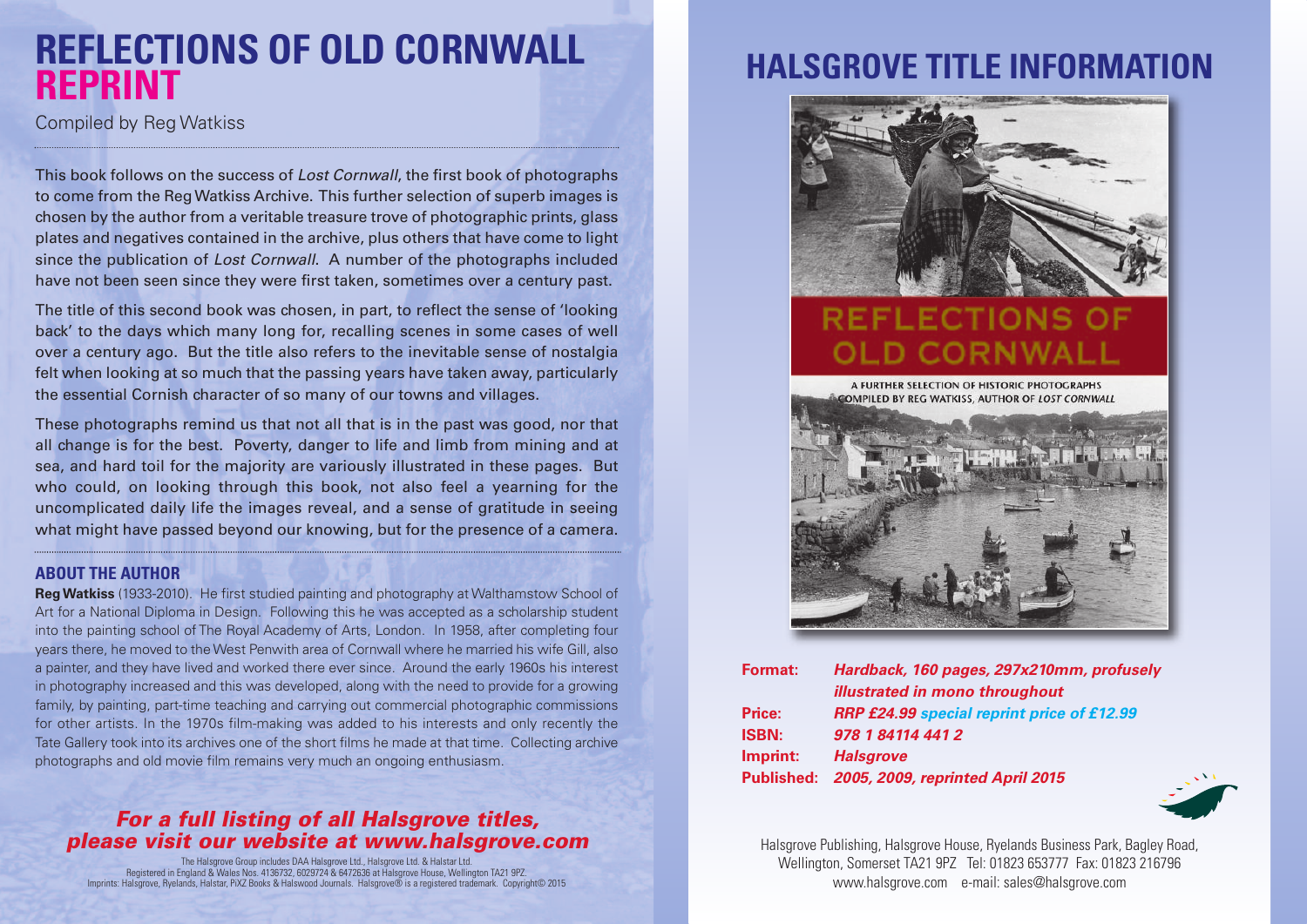## **REFLECTIONS OF OLD CORNWALL REPRINT**

Compiled by Reg Watkiss

This book follows on the success of *Lost Cornwall*, the first book of photographs to come from the RegWatkiss Archive. This further selection of superb images is chosen by the author from a veritable treasure trove of photographic prints, glass plates and negatives contained in the archive, plus others that have come to light since the publication of *Lost Cornwall*. A number of the photographs included have not been seen since they were first taken, sometimes over a century past.

The title of this second book was chosen, in part, to reflect the sense of 'looking back' to the days which many long for, recalling scenes in some cases of well over a century ago. But the title also refers to the inevitable sense of nostalgia felt when looking at so much that the passing years have taken away, particularly the essential Cornish character of so many of our towns and villages.

These photographs remind us that not all that is in the past was good, nor that all change is for the best. Poverty, danger to life and limb from mining and at sea, and hard toil for the majority are variously illustrated in these pages. But who could, on looking through this book, not also feel a yearning for the uncomplicated daily life the images reveal, and a sense of gratitude in seeing what might have passed beyond our knowing, but for the presence of a camera.

#### **ABOUT THE AUTHOR**

**RegWatkiss** (1933-2010). He first studied painting and photography at Walthamstow School of Art for a National Diploma in Design. Following this he was accepted as a scholarship student into the painting school of The Royal Academy of Arts, London. In 1958, after completing four years there, he moved to theWest Penwith area of Cornwall where he married his wife Gill, also a painter, and they have lived and worked there ever since. Around the early 1960s his interest in photography increased and this was developed, along with the need to provide for a growing family, by painting, part-time teaching and carrying out commercial photographic commissions for other artists. In the 1970s film-making was added to his interests and only recently the Tate Gallery took into its archives one of the short films he made at that time. Collecting archive photographs and old movie film remains very much an ongoing enthusiasm.

#### *For a full listing of all Halsgrove titles, please visit our website at www.halsgrove.com*

The Halsgrove Group includes DAA Halsgrove Ltd., Halsgrove Ltd. & Halstar Ltd.<br>Registered in England & Wales Nos. 4136732, 6029724 & 6472636 at Halsgrove House, Wellington TA21 9PZ.<br>Imprints: Halsgrove, Ryelands, Halstar,

### **HALSGROVE TITLE INFORMAT**



### **FLECTION** OLD CORNV

A FURTHER SELECTION OF HISTORIC PHOTOGRAPHS **COMPILED BY REG WATKISS, AUTHOR OF LOST CORNWALL** 



| <b>Format:</b> | Hardback, 160 pages, 297x210mm, profusely   |
|----------------|---------------------------------------------|
|                | illustrated in mono throughout              |
| <b>Price:</b>  | RRP £24.99 special reprint price of £12.99  |
| <b>ISBN:</b>   | 978 1 84114 441 2                           |
| Imprint:       | <b>Halsgrove</b>                            |
|                | Published: 2005, 2009, reprinted April 2015 |
|                |                                             |



Halsgrove Publishing, Halsgrove House, Ryelands Business Park, Bagley Road, Wellington, Somerset TA21 9PZ Tel: 01823 653777 Fax: 01823 216796 www.halsgrove.com e-mail: sales@halsgrove.com